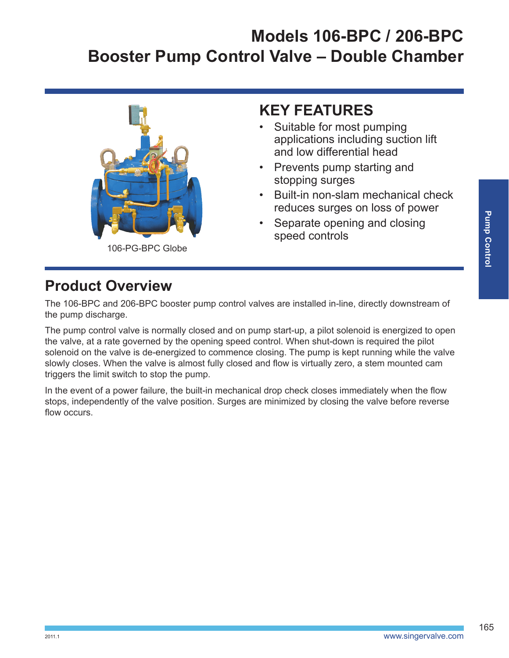

**KEY FEATURES**

- Suitable for most pumping applications including suction lift and low differential head
- Prevents pump starting and stopping surges
- Built-in non-slam mechanical check reduces surges on loss of power
- Separate opening and closing speed controls

## **Product Overview**

The 106-BPC and 206-BPC booster pump control valves are installed in-line, directly downstream of the pump discharge.

The pump control valve is normally closed and on pump start-up, a pilot solenoid is energized to open the valve, at a rate governed by the opening speed control. When shut-down is required the pilot solenoid on the valve is de-energized to commence closing. The pump is kept running while the valve slowly closes. When the valve is almost fully closed and flow is virtually zero, a stem mounted cam triggers the limit switch to stop the pump.

In the event of a power failure, the built-in mechanical drop check closes immediately when the flow stops, independently of the valve position. Surges are minimized by closing the valve before reverse flow occurs.

165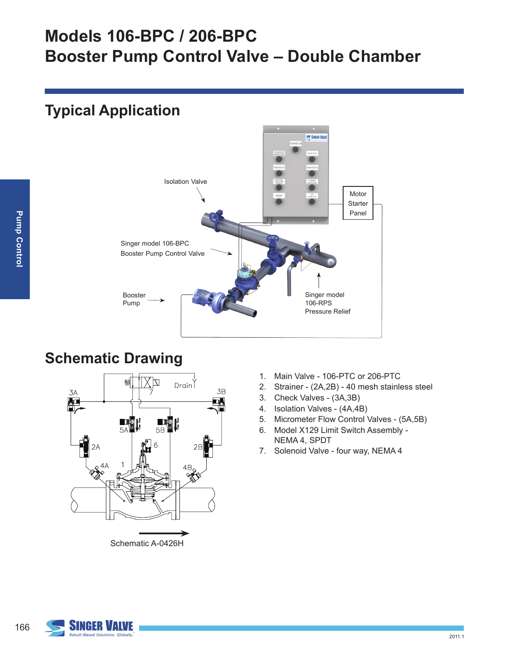### **Typical Application**



#### **Schematic Drawing**



- 1. Main Valve 106-PTC or 206-PTC
- 2. Strainer (2A,2B) 40 mesh stainless steel
- 3. Check Valves (3A,3B)
- 4. Isolation Valves (4A,4B)
- 5. Micrometer Flow Control Valves (5A,5B)
- 6. Model X129 Limit Switch Assembly NEMA 4, SPDT
- 7. Solenoid Valve four way, NEMA 4



166

2011.1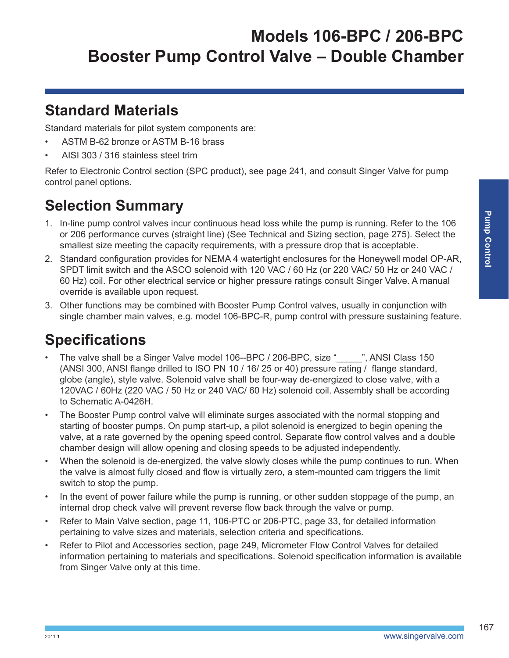#### **Standard Materials**

Standard materials for pilot system components are:

- ASTM B-62 bronze or ASTM B-16 brass
- AISI 303 / 316 stainless steel trim

Refer to Electronic Control section (SPC product), see page 241, and consult Singer Valve for pump control panel options.

## **Selection Summary**

- 1. In-line pump control valves incur continuous head loss while the pump is running. Refer to the 106 or 206 performance curves (straight line) (See Technical and Sizing section, page 275). Select the smallest size meeting the capacity requirements, with a pressure drop that is acceptable.
- 2. Standard configuration provides for NEMA 4 watertight enclosures for the Honeywell model OP-AR, SPDT limit switch and the ASCO solenoid with 120 VAC / 60 Hz (or 220 VAC/ 50 Hz or 240 VAC / 60 Hz) coil. For other electrical service or higher pressure ratings consult Singer Valve. A manual override is available upon request.
- 3. Other functions may be combined with Booster Pump Control valves, usually in conjunction with single chamber main valves, e.g. model 106-BPC-R, pump control with pressure sustaining feature.

## **Specifications**

- The valve shall be a Singer Valve model 106--BPC / 206-BPC, size " \_\_\_\_", ANSI Class 150 (ANSI 300, ANSI flange drilled to ISO PN 10 / 16/ 25 or 40) pressure rating / flange standard, globe (angle), style valve. Solenoid valve shall be four-way de-energized to close valve, with a 120VAC / 60Hz (220 VAC / 50 Hz or 240 VAC/ 60 Hz) solenoid coil. Assembly shall be according to Schematic A-0426H.
- The Booster Pump control valve will eliminate surges associated with the normal stopping and starting of booster pumps. On pump start-up, a pilot solenoid is energized to begin opening the valve, at a rate governed by the opening speed control. Separate flow control valves and a double chamber design will allow opening and closing speeds to be adjusted independently.
- When the solenoid is de-energized, the valve slowly closes while the pump continues to run. When the valve is almost fully closed and flow is virtually zero, a stem-mounted cam triggers the limit switch to stop the pump.
- In the event of power failure while the pump is running, or other sudden stoppage of the pump, an internal drop check valve will prevent reverse flow back through the valve or pump.
- Refer to Main Valve section, page 11, 106-PTC or 206-PTC, page 33, for detailed information pertaining to valve sizes and materials, selection criteria and specifications.
- Refer to Pilot and Accessories section, page 249, Micrometer Flow Control Valves for detailed information pertaining to materials and specifications. Solenoid specification information is available from Singer Valve only at this time.

167